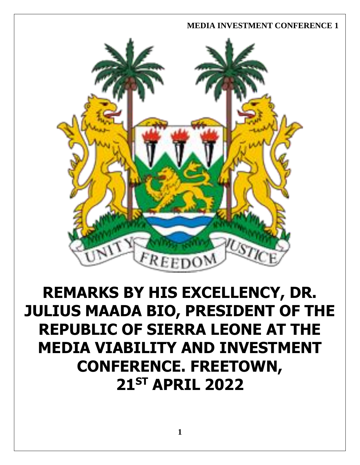

# **REMARKS BY HIS EXCELLENCY, DR. JULIUS MAADA BIO, PRESIDENT OF THE REPUBLIC OF SIERRA LEONE AT THE MEDIA VIABILITY AND INVESTMENT CONFERENCE. FREETOWN, 21ST APRIL 2022**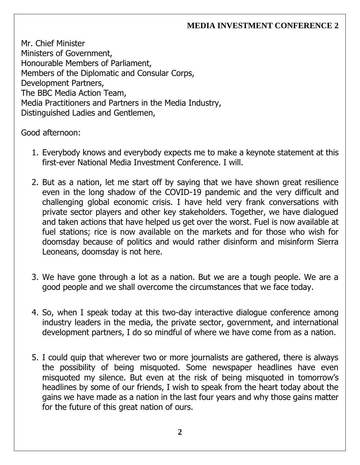Mr. Chief Minister Ministers of Government, Honourable Members of Parliament, Members of the Diplomatic and Consular Corps, Development Partners, The BBC Media Action Team, Media Practitioners and Partners in the Media Industry, Distinguished Ladies and Gentlemen,

Good afternoon:

- 1. Everybody knows and everybody expects me to make a keynote statement at this first-ever National Media Investment Conference. I will.
- 2. But as a nation, let me start off by saying that we have shown great resilience even in the long shadow of the COVID-19 pandemic and the very difficult and challenging global economic crisis. I have held very frank conversations with private sector players and other key stakeholders. Together, we have dialogued and taken actions that have helped us get over the worst. Fuel is now available at fuel stations; rice is now available on the markets and for those who wish for doomsday because of politics and would rather disinform and misinform Sierra Leoneans, doomsday is not here.
- 3. We have gone through a lot as a nation. But we are a tough people. We are a good people and we shall overcome the circumstances that we face today.
- 4. So, when I speak today at this two-day interactive dialogue conference among industry leaders in the media, the private sector, government, and international development partners, I do so mindful of where we have come from as a nation.
- 5. I could quip that wherever two or more journalists are gathered, there is always the possibility of being misquoted. Some newspaper headlines have even misquoted my silence. But even at the risk of being misquoted in tomorrow's headlines by some of our friends, I wish to speak from the heart today about the gains we have made as a nation in the last four years and why those gains matter for the future of this great nation of ours.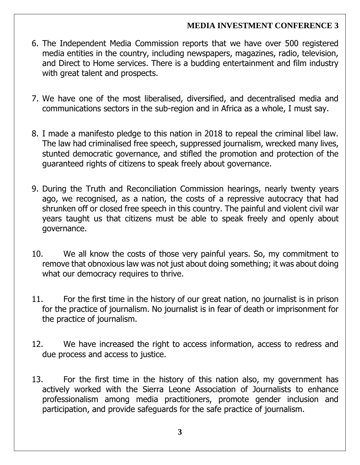- 6. The Independent Media Commission reports that we have over 500 registered media entities in the country, including newspapers, magazines, radio, television, and Direct to Home services. There is a budding entertainment and film industry with great talent and prospects.
- 7. We have one of the most liberalised, diversified, and decentralised media and communications sectors in the sub-region and in Africa as a whole, I must say.
- 8. I made a manifesto pledge to this nation in 2018 to repeal the criminal libel law. The law had criminalised free speech, suppressed journalism, wrecked many lives, stunted democratic governance, and stifled the promotion and protection of the guaranteed rights of citizens to speak freely about governance.
- 9. During the Truth and Reconciliation Commission hearings, nearly twenty years ago, we recognised, as a nation, the costs of a repressive autocracy that had shrunken off or closed free speech in this country. The painful and violent civil war years taught us that citizens must be able to speak freely and openly about governance.
- 10. We all know the costs of those very painful years. So, my commitment to remove that obnoxious law was not just about doing something; it was about doing what our democracy requires to thrive.
- 11. For the first time in the history of our great nation, no journalist is in prison for the practice of journalism. No journalist is in fear of death or imprisonment for the practice of journalism.
- 12. We have increased the right to access information, access to redress and due process and access to justice.
- 13. For the first time in the history of this nation also, my government has actively worked with the Sierra Leone Association of Journalists to enhance professionalism among media practitioners, promote gender inclusion and participation, and provide safeguards for the safe practice of journalism.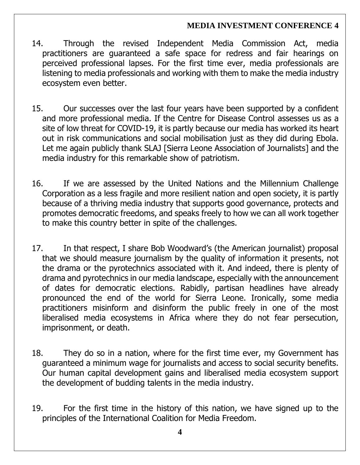- 14. Through the revised Independent Media Commission Act, media practitioners are guaranteed a safe space for redress and fair hearings on perceived professional lapses. For the first time ever, media professionals are listening to media professionals and working with them to make the media industry ecosystem even better.
- 15. Our successes over the last four years have been supported by a confident and more professional media. If the Centre for Disease Control assesses us as a site of low threat for COVID-19, it is partly because our media has worked its heart out in risk communications and social mobilisation just as they did during Ebola. Let me again publicly thank SLAJ [Sierra Leone Association of Journalists] and the media industry for this remarkable show of patriotism.
- 16. If we are assessed by the United Nations and the Millennium Challenge Corporation as a less fragile and more resilient nation and open society, it is partly because of a thriving media industry that supports good governance, protects and promotes democratic freedoms, and speaks freely to how we can all work together to make this country better in spite of the challenges.
- 17. In that respect, I share Bob Woodward's (the American journalist) proposal that we should measure journalism by the quality of information it presents, not the drama or the pyrotechnics associated with it. And indeed, there is plenty of drama and pyrotechnics in our media landscape, especially with the announcement of dates for democratic elections. Rabidly, partisan headlines have already pronounced the end of the world for Sierra Leone. Ironically, some media practitioners misinform and disinform the public freely in one of the most liberalised media ecosystems in Africa where they do not fear persecution, imprisonment, or death.
- 18. They do so in a nation, where for the first time ever, my Government has guaranteed a minimum wage for journalists and access to social security benefits. Our human capital development gains and liberalised media ecosystem support the development of budding talents in the media industry.
- 19. For the first time in the history of this nation, we have signed up to the principles of the International Coalition for Media Freedom.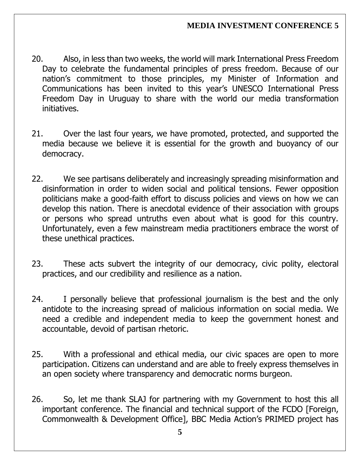- 20. Also, in less than two weeks, the world will mark International Press Freedom Day to celebrate the fundamental principles of press freedom. Because of our nation's commitment to those principles, my Minister of Information and Communications has been invited to this year's UNESCO International Press Freedom Day in Uruguay to share with the world our media transformation initiatives.
- 21. Over the last four years, we have promoted, protected, and supported the media because we believe it is essential for the growth and buoyancy of our democracy.
- 22. We see partisans deliberately and increasingly spreading misinformation and disinformation in order to widen social and political tensions. Fewer opposition politicians make a good-faith effort to discuss policies and views on how we can develop this nation. There is anecdotal evidence of their association with groups or persons who spread untruths even about what is good for this country. Unfortunately, even a few mainstream media practitioners embrace the worst of these unethical practices.
- 23. These acts subvert the integrity of our democracy, civic polity, electoral practices, and our credibility and resilience as a nation.
- 24. I personally believe that professional journalism is the best and the only antidote to the increasing spread of malicious information on social media. We need a credible and independent media to keep the government honest and accountable, devoid of partisan rhetoric.
- 25. With a professional and ethical media, our civic spaces are open to more participation. Citizens can understand and are able to freely express themselves in an open society where transparency and democratic norms burgeon.
- 26. So, let me thank SLAJ for partnering with my Government to host this all important conference. The financial and technical support of the FCDO [Foreign, Commonwealth & Development Office], BBC Media Action's PRIMED project has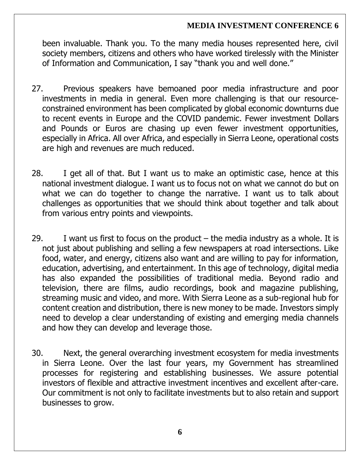been invaluable. Thank you. To the many media houses represented here, civil society members, citizens and others who have worked tirelessly with the Minister of Information and Communication, I say "thank you and well done."

- 27. Previous speakers have bemoaned poor media infrastructure and poor investments in media in general. Even more challenging is that our resourceconstrained environment has been complicated by global economic downturns due to recent events in Europe and the COVID pandemic. Fewer investment Dollars and Pounds or Euros are chasing up even fewer investment opportunities, especially in Africa. All over Africa, and especially in Sierra Leone, operational costs are high and revenues are much reduced.
- 28. I get all of that. But I want us to make an optimistic case, hence at this national investment dialogue. I want us to focus not on what we cannot do but on what we can do together to change the narrative. I want us to talk about challenges as opportunities that we should think about together and talk about from various entry points and viewpoints.
- 29. I want us first to focus on the product  $-$  the media industry as a whole. It is not just about publishing and selling a few newspapers at road intersections. Like food, water, and energy, citizens also want and are willing to pay for information, education, advertising, and entertainment. In this age of technology, digital media has also expanded the possibilities of traditional media. Beyond radio and television, there are films, audio recordings, book and magazine publishing, streaming music and video, and more. With Sierra Leone as a sub-regional hub for content creation and distribution, there is new money to be made. Investors simply need to develop a clear understanding of existing and emerging media channels and how they can develop and leverage those.
- 30. Next, the general overarching investment ecosystem for media investments in Sierra Leone. Over the last four years, my Government has streamlined processes for registering and establishing businesses. We assure potential investors of flexible and attractive investment incentives and excellent after-care. Our commitment is not only to facilitate investments but to also retain and support businesses to grow.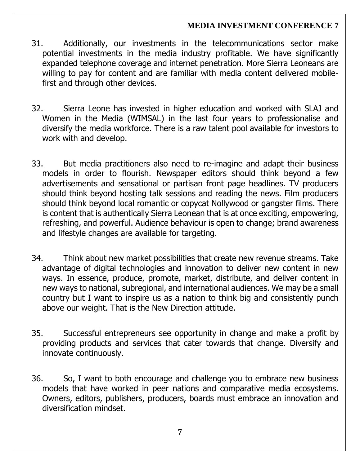- 31. Additionally, our investments in the telecommunications sector make potential investments in the media industry profitable. We have significantly expanded telephone coverage and internet penetration. More Sierra Leoneans are willing to pay for content and are familiar with media content delivered mobilefirst and through other devices.
- 32. Sierra Leone has invested in higher education and worked with SLAJ and Women in the Media (WIMSAL) in the last four years to professionalise and diversify the media workforce. There is a raw talent pool available for investors to work with and develop.
- 33. But media practitioners also need to re-imagine and adapt their business models in order to flourish. Newspaper editors should think beyond a few advertisements and sensational or partisan front page headlines. TV producers should think beyond hosting talk sessions and reading the news. Film producers should think beyond local romantic or copycat Nollywood or gangster films. There is content that is authentically Sierra Leonean that is at once exciting, empowering, refreshing, and powerful. Audience behaviour is open to change; brand awareness and lifestyle changes are available for targeting.
- 34. Think about new market possibilities that create new revenue streams. Take advantage of digital technologies and innovation to deliver new content in new ways. In essence, produce, promote, market, distribute, and deliver content in new ways to national, subregional, and international audiences. We may be a small country but I want to inspire us as a nation to think big and consistently punch above our weight. That is the New Direction attitude.
- 35. Successful entrepreneurs see opportunity in change and make a profit by providing products and services that cater towards that change. Diversify and innovate continuously.
- 36. So, I want to both encourage and challenge you to embrace new business models that have worked in peer nations and comparative media ecosystems. Owners, editors, publishers, producers, boards must embrace an innovation and diversification mindset.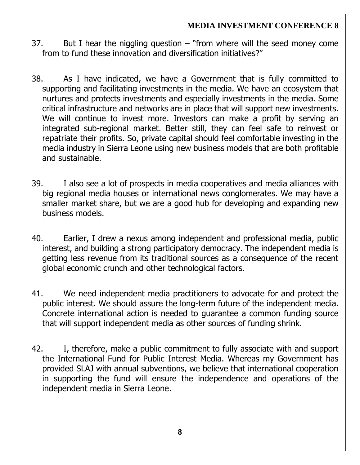- 37. But I hear the niggling question "from where will the seed money come from to fund these innovation and diversification initiatives?"
- 38. As I have indicated, we have a Government that is fully committed to supporting and facilitating investments in the media. We have an ecosystem that nurtures and protects investments and especially investments in the media. Some critical infrastructure and networks are in place that will support new investments. We will continue to invest more. Investors can make a profit by serving an integrated sub-regional market. Better still, they can feel safe to reinvest or repatriate their profits. So, private capital should feel comfortable investing in the media industry in Sierra Leone using new business models that are both profitable and sustainable.
- 39. I also see a lot of prospects in media cooperatives and media alliances with big regional media houses or international news conglomerates. We may have a smaller market share, but we are a good hub for developing and expanding new business models.
- 40. Earlier, I drew a nexus among independent and professional media, public interest, and building a strong participatory democracy. The independent media is getting less revenue from its traditional sources as a consequence of the recent global economic crunch and other technological factors.
- 41. We need independent media practitioners to advocate for and protect the public interest. We should assure the long-term future of the independent media. Concrete international action is needed to guarantee a common funding source that will support independent media as other sources of funding shrink.
- 42. I, therefore, make a public commitment to fully associate with and support the International Fund for Public Interest Media. Whereas my Government has provided SLAJ with annual subventions, we believe that international cooperation in supporting the fund will ensure the independence and operations of the independent media in Sierra Leone.